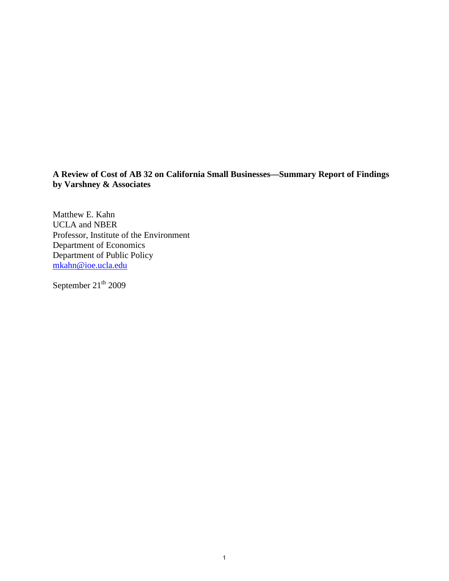**A Review of Cost of AB 32 on California Small Businesses—Summary Report of Findings by Varshney & Associates** 

 Matthew E. Kahn UCLA and NBER Professor, Institute of the Environment Department of Economics Department of Public Policy [mkahn@ioe.ucla.edu](mailto:mkahn@ioe.ucla.edu) 

September  $21^{\text{th}}$  2009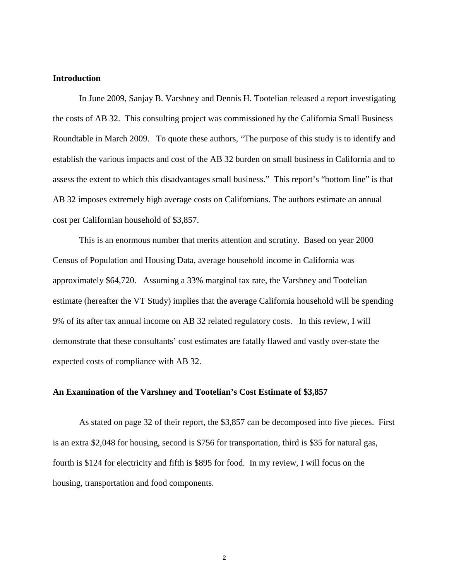# **Introduction**

 In June 2009, Sanjay B. Varshney and Dennis H. Tootelian released a report investigating the costs of AB 32. This consulting project was commissioned by the California Small Business Roundtable in March 2009. To quote these authors, "The purpose of this study is to identify and establish the various impacts and cost of the AB 32 burden on small business in California and to assess the extent to which this disadvantages small business." This report's "bottom line" is that AB 32 imposes extremely high average costs on Californians. The authors estimate an annual cost per Californian household of \$3,857.

 This is an enormous number that merits attention and scrutiny. Based on year 2000 Census of Population and Housing Data, average household income in California was approximately \$64,720. Assuming a 33% marginal tax rate, the Varshney and Tootelian estimate (hereafter the VT Study) implies that the average California household will be spending 9% of its after tax annual income on AB 32 related regulatory costs. In this review, I will demonstrate that these consultants' cost estimates are fatally flawed and vastly over-state the expected costs of compliance with AB 32.

### **An Examination of the Varshney and Tootelian's Cost Estimate of \$3,857**

 As stated on page 32 of their report, the \$3,857 can be decomposed into five pieces. First is an extra \$2,048 for housing, second is \$756 for transportation, third is \$35 for natural gas, fourth is \$124 for electricity and fifth is \$895 for food. In my review, I will focus on the housing, transportation and food components.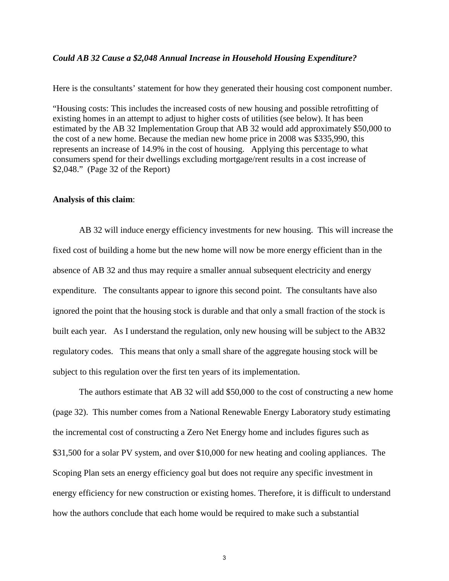## *Could AB 32 Cause a \$2,048 Annual Increase in Household Housing Expenditure?*

Here is the consultants' statement for how they generated their housing cost component number.

 "Housing costs: This includes the increased costs of new housing and possible retrofitting of existing homes in an attempt to adjust to higher costs of utilities (see below). It has been estimated by the AB 32 Implementation Group that AB 32 would add approximately \$50,000 to the cost of a new home. Because the median new home price in 2008 was \$335,990, this represents an increase of 14.9% in the cost of housing. Applying this percentage to what consumers spend for their dwellings excluding mortgage/rent results in a cost increase of \$2,048." (Page 32 of the Report)

### **Analysis of this claim**:

 AB 32 will induce energy efficiency investments for new housing. This will increase the fixed cost of building a home but the new home will now be more energy efficient than in the absence of AB 32 and thus may require a smaller annual subsequent electricity and energy expenditure. The consultants appear to ignore this second point. The consultants have also ignored the point that the housing stock is durable and that only a small fraction of the stock is built each year. As I understand the regulation, only new housing will be subject to the AB32 regulatory codes. This means that only a small share of the aggregate housing stock will be subject to this regulation over the first ten years of its implementation.

 The authors estimate that AB 32 will add \$50,000 to the cost of constructing a new home (page 32). This number comes from a National Renewable Energy Laboratory study estimating the incremental cost of constructing a Zero Net Energy home and includes figures such as \$31,500 for a solar PV system, and over \$10,000 for new heating and cooling appliances. The Scoping Plan sets an energy efficiency goal but does not require any specific investment in energy efficiency for new construction or existing homes. Therefore, it is difficult to understand how the authors conclude that each home would be required to make such a substantial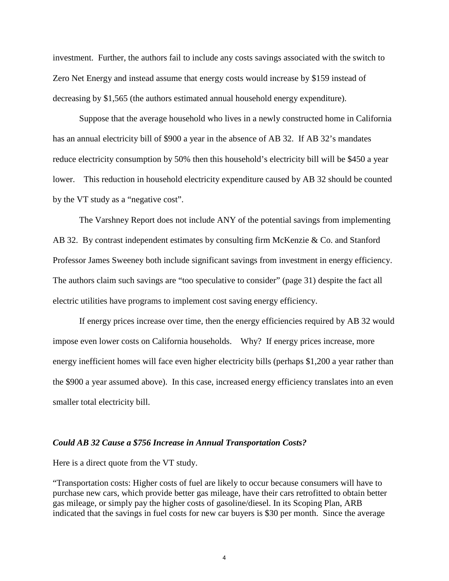investment. Further, the authors fail to include any costs savings associated with the switch to Zero Net Energy and instead assume that energy costs would increase by \$159 instead of decreasing by \$1,565 (the authors estimated annual household energy expenditure).

 Suppose that the average household who lives in a newly constructed home in California has an annual electricity bill of \$900 a year in the absence of AB 32. If AB 32's mandates reduce electricity consumption by 50% then this household's electricity bill will be \$450 a year lower. This reduction in household electricity expenditure caused by AB 32 should be counted by the VT study as a "negative cost".

 The Varshney Report does not include ANY of the potential savings from implementing AB 32. By contrast independent estimates by consulting firm McKenzie & Co. and Stanford Professor James Sweeney both include significant savings from investment in energy efficiency. The authors claim such savings are "too speculative to consider" (page 31) despite the fact all electric utilities have programs to implement cost saving energy efficiency.

 If energy prices increase over time, then the energy efficiencies required by AB 32 would impose even lower costs on California households. Why? If energy prices increase, more energy inefficient homes will face even higher electricity bills (perhaps \$1,200 a year rather than the \$900 a year assumed above). In this case, increased energy efficiency translates into an even smaller total electricity bill.

### *Could AB 32 Cause a \$756 Increase in Annual Transportation Costs?*

Here is a direct quote from the VT study.

 "Transportation costs: Higher costs of fuel are likely to occur because consumers will have to purchase new cars, which provide better gas mileage, have their cars retrofitted to obtain better gas mileage, or simply pay the higher costs of gasoline/diesel. In its Scoping Plan, ARB indicated that the savings in fuel costs for new car buyers is \$30 per month. Since the average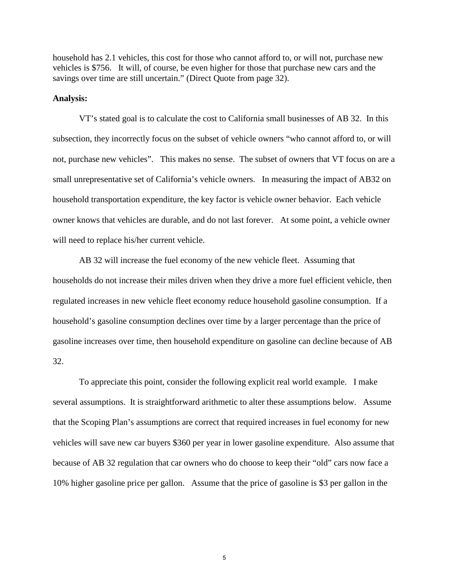household has 2.1 vehicles, this cost for those who cannot afford to, or will not, purchase new vehicles is \$756. It will, of course, be even higher for those that purchase new cars and the savings over time are still uncertain." (Direct Quote from page 32).

#### **Analysis:**

 VT's stated goal is to calculate the cost to California small businesses of AB 32. In this subsection, they incorrectly focus on the subset of vehicle owners "who cannot afford to, or will not, purchase new vehicles". This makes no sense. The subset of owners that VT focus on are a small unrepresentative set of California's vehicle owners. In measuring the impact of AB32 on household transportation expenditure, the key factor is vehicle owner behavior. Each vehicle owner knows that vehicles are durable, and do not last forever. At some point, a vehicle owner will need to replace his/her current vehicle.

 AB 32 will increase the fuel economy of the new vehicle fleet. Assuming that households do not increase their miles driven when they drive a more fuel efficient vehicle, then regulated increases in new vehicle fleet economy reduce household gasoline consumption. If a household's gasoline consumption declines over time by a larger percentage than the price of gasoline increases over time, then household expenditure on gasoline can decline because of AB 32.

 To appreciate this point, consider the following explicit real world example. I make several assumptions. It is straightforward arithmetic to alter these assumptions below. Assume that the Scoping Plan's assumptions are correct that required increases in fuel economy for new vehicles will save new car buyers \$360 per year in lower gasoline expenditure. Also assume that because of AB 32 regulation that car owners who do choose to keep their "old" cars now face a 10% higher gasoline price per gallon. Assume that the price of gasoline is \$3 per gallon in the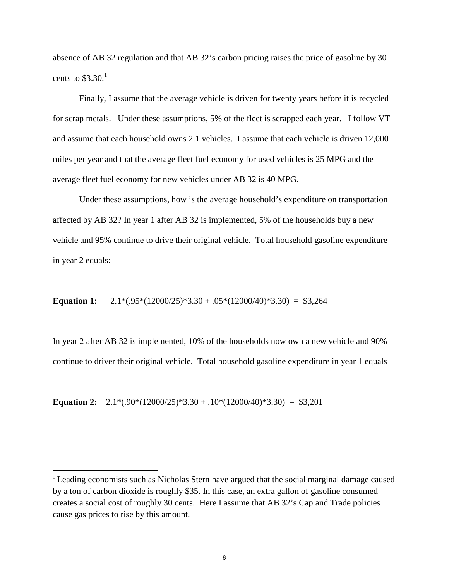absence of AB 32 regulation and that AB 32's carbon pricing raises the price of gasoline by 30 cents to  $$3.30$ <sup>1</sup>

 Finally, I assume that the average vehicle is driven for twenty years before it is recycled for scrap metals. Under these assumptions, 5% of the fleet is scrapped each year. I follow VT and assume that each household owns 2.1 vehicles. I assume that each vehicle is driven 12,000 miles per year and that the average fleet fuel economy for used vehicles is 25 MPG and the average fleet fuel economy for new vehicles under AB 32 is 40 MPG.

 Under these assumptions, how is the average household's expenditure on transportation affected by AB 32? In year 1 after AB 32 is implemented, 5% of the households buy a new vehicle and 95% continue to drive their original vehicle. Total household gasoline expenditure in year 2 equals:

**Equation 1:**  $2.1*(.95*(12000/25)*3.30 + .05*(12000/40)*3.30) = $3,264$  $2.1*(.95*(12000/25)*3.30 + .05*(12000/40)*3.30) = $3,264$ 

 In year 2 after AB 32 is implemented, 10% of the households now own a new vehicle and 90% continue to driver their original vehicle. Total household gasoline expenditure in year 1 equals

**Equation 2:**  $2.1*(.90*(12000/25)*3.30 + .10*(12000/40)*3.30) = $3,201$  $2.1*(.90*(12000/25)*3.30 + .10*(12000/40)*3.30) = $3,201$ 

l

<sup>&</sup>lt;sup>1</sup> Leading economists such as Nicholas Stern have argued that the social marginal damage caused by a ton of carbon dioxide is roughly \$35. In this case, an extra gallon of gasoline consumed creates a social cost of roughly 30 cents. Here I assume that AB 32's Cap and Trade policies cause gas prices to rise by this amount.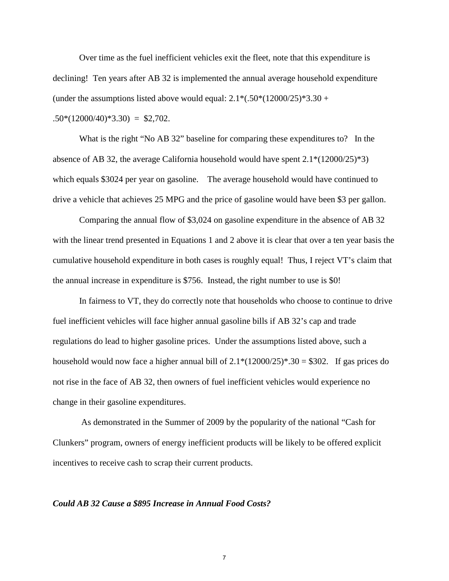Over time as the fuel inefficient vehicles exit the fleet, note that this expenditure is declining! Ten years after AB 32 is implemented the annual average household expenditure (under the assumptions listed above would equal:  $2.1*(.50*(12000/25)*3.30 +$  $.50*(12000/40)*3.30 = $2,702.$ 

What is the right "No AB 32" baseline for comparing these expenditures to? In the absence of AB 32, the average California household would have spent 2.1\*(12000/25)\*3) which equals \$3024 per year on gasoline. The average household would have continued to drive a vehicle that achieves 25 MPG and the price of gasoline would have been \$3 per gallon.

 Comparing the annual flow of \$3,024 on gasoline expenditure in the absence of AB 32 with the linear trend presented in Equations 1 and 2 above it is clear that over a ten year basis the cumulative household expenditure in both cases is roughly equal! Thus, I reject VT's claim that the annual increase in expenditure is \$756. Instead, the right number to use is \$0!

 In fairness to VT, they do correctly note that households who choose to continue to drive fuel inefficient vehicles will face higher annual gasoline bills if AB 32's cap and trade regulations do lead to higher gasoline prices. Under the assumptions listed above, such a household would now face a higher annual bill of  $2.1*(12000/25)*.30 = $302$  $2.1*(12000/25)*.30 = $302$ . If gas prices do not rise in the face of AB 32, then owners of fuel inefficient vehicles would experience no change in their gasoline expenditures.

 As demonstrated in the Summer of 2009 by the popularity of the national "Cash for Clunkers" program, owners of energy inefficient products will be likely to be offered explicit incentives to receive cash to scrap their current products.

### *Could AB 32 Cause a \$895 Increase in Annual Food Costs?*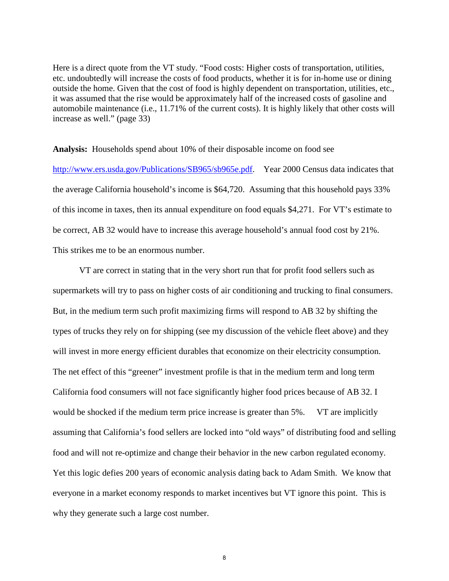Here is a direct quote from the VT study. "Food costs: Higher costs of transportation, utilities, etc. undoubtedly will increase the costs of food products, whether it is for in-home use or dining outside the home. Given that the cost of food is highly dependent on transportation, utilities, etc., it was assumed that the rise would be approximately half of the increased costs of gasoline and automobile maintenance (i.e., 11.71% of the current costs). It is highly likely that other costs will increase as well." (page 33)

 **Analysis:** Households spend about 10% of their disposable income on food see [http://www.ers.usda.gov/Publications/SB965/sb965e.pdf.](http://www.ers.usda.gov/Publications/SB965/sb965e.pdf) Year 2000 Census data indicates that the average California household's income is \$64,720. Assuming that this household pays 33% of this income in taxes, then its annual expenditure on food equals \$4,271. For VT's estimate to be correct, AB 32 would have to increase this average household's annual food cost by 21%. This strikes me to be an enormous number.

 supermarkets will try to pass on higher costs of air conditioning and trucking to final consumers. But, in the medium term such profit maximizing firms will respond to AB 32 by shifting the types of trucks they rely on for shipping (see my discussion of the vehicle fleet above) and they will invest in more energy efficient durables that economize on their electricity consumption. The net effect of this "greener" investment profile is that in the medium term and long term California food consumers will not face significantly higher food prices because of AB 32. I would be shocked if the medium term price increase is greater than 5%. VT are implicitly assuming that California's food sellers are locked into "old ways" of distributing food and selling food and will not re-optimize and change their behavior in the new carbon regulated economy. Yet this logic defies 200 years of economic analysis dating back to Adam Smith. We know that everyone in a market economy responds to market incentives but VT ignore this point. This is why they generate such a large cost number. VT are correct in stating that in the very short run that for profit food sellers such as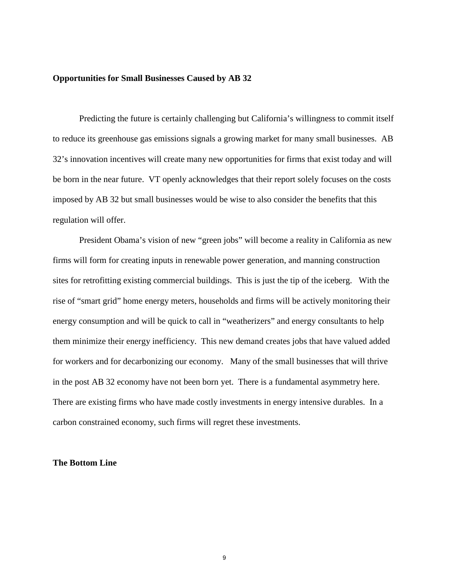### **Opportunities for Small Businesses Caused by AB 32**

 Predicting the future is certainly challenging but California's willingness to commit itself to reduce its greenhouse gas emissions signals a growing market for many small businesses. AB 32's innovation incentives will create many new opportunities for firms that exist today and will be born in the near future. VT openly acknowledges that their report solely focuses on the costs imposed by AB 32 but small businesses would be wise to also consider the benefits that this regulation will offer.

 President Obama's vision of new "green jobs" will become a reality in California as new firms will form for creating inputs in renewable power generation, and manning construction sites for retrofitting existing commercial buildings. This is just the tip of the iceberg. With the rise of "smart grid" home energy meters, households and firms will be actively monitoring their energy consumption and will be quick to call in "weatherizers" and energy consultants to help them minimize their energy inefficiency. This new demand creates jobs that have valued added for workers and for decarbonizing our economy. Many of the small businesses that will thrive in the post AB 32 economy have not been born yet. There is a fundamental asymmetry here. There are existing firms who have made costly investments in energy intensive durables. In a carbon constrained economy, such firms will regret these investments.

### **The Bottom Line**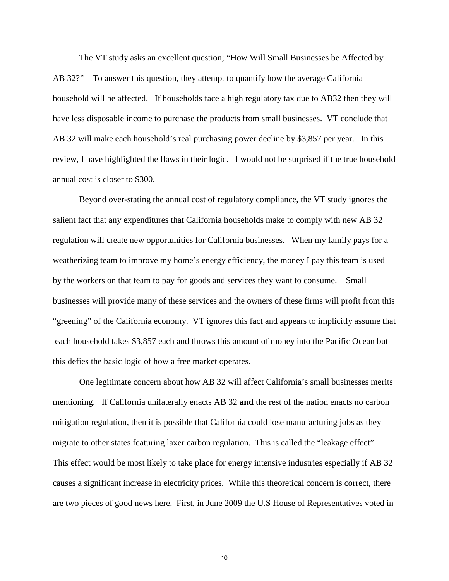The VT study asks an excellent question; "How Will Small Businesses be Affected by AB 32?" To answer this question, they attempt to quantify how the average California household will be affected. If households face a high regulatory tax due to AB32 then they will have less disposable income to purchase the products from small businesses. VT conclude that AB 32 will make each household's real purchasing power decline by \$3,857 per year. In this review, I have highlighted the flaws in their logic. I would not be surprised if the true household annual cost is closer to \$300.

 Beyond over-stating the annual cost of regulatory compliance, the VT study ignores the salient fact that any expenditures that California households make to comply with new AB 32 regulation will create new opportunities for California businesses. When my family pays for a weatherizing team to improve my home's energy efficiency, the money I pay this team is used by the workers on that team to pay for goods and services they want to consume. Small businesses will provide many of these services and the owners of these firms will profit from this "greening" of the California economy. VT ignores this fact and appears to implicitly assume that each household takes \$3,857 each and throws this amount of money into the Pacific Ocean but this defies the basic logic of how a free market operates.

 mentioning. If California unilaterally enacts AB 32 **and** the rest of the nation enacts no carbon mitigation regulation, then it is possible that California could lose manufacturing jobs as they migrate to other states featuring laxer carbon regulation. This is called the "leakage effect". This effect would be most likely to take place for energy intensive industries especially if AB 32 causes a significant increase in electricity prices. While this theoretical concern is correct, there are two pieces of good news here. First, in June 2009 the U.S House of Representatives voted in One legitimate concern about how AB 32 will affect California's small businesses merits

10